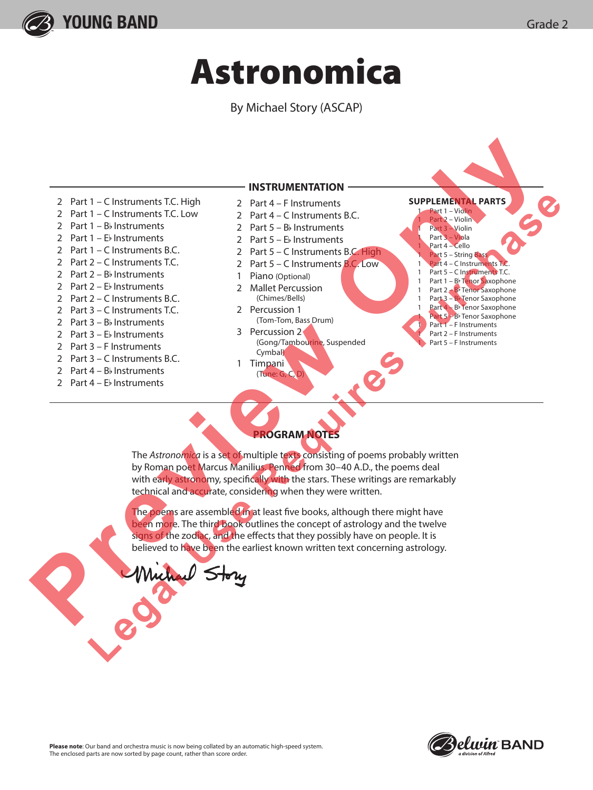# Astronomica

By Michael Story (ASCAP)



## **PROGRAM NOTE**

The *Astronomica* is a set of multiple texts consisting of poems probably written by Roman poet Marcus Manilius. Penned from 30–40 A.D., the poems deal with early astronomy, specifically with the stars. These writings are remarkably technical and accurate, considering when they were written.

The poems are assembled in at least five books, although there might have been more. The third book outlines the concept of astrology and the twelve signs of the zodiac, and the effects that they possibly have on people. It is believed to have been the earliest known written text concerning astrology.

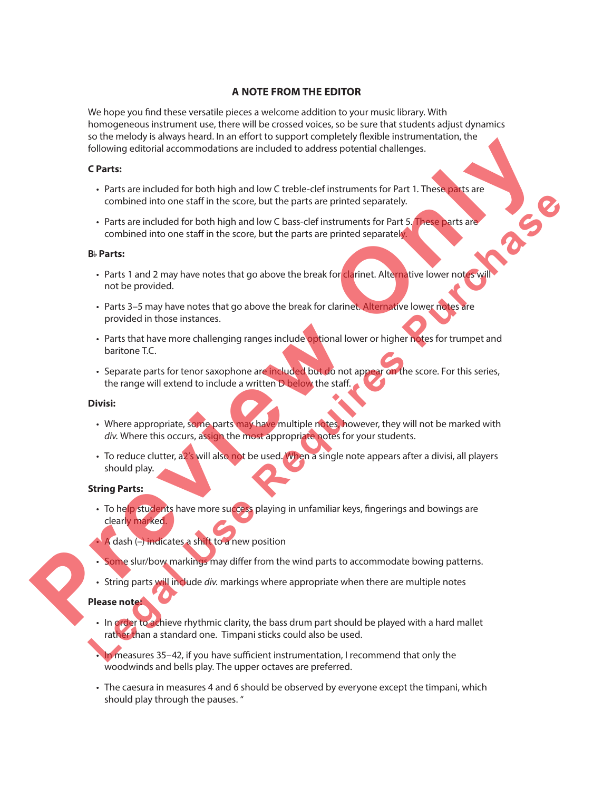### **A NOTE FROM THE EDITOR**

We hope you find these versatile pieces a welcome addition to your music library. With homogeneous instrument use, there will be crossed voices, so be sure that students adjust dynamics so the melody is always heard. In an effort to support completely flexible instrumentation, the following editorial accommodations are included to address potential challenges.

#### **C Parts:**

- Parts are included for both high and low C treble-clef instruments for Part 1. These parts are combined into one staff in the score, but the parts are printed separately.
- Parts are included for both high and low C bass-clef instruments for Part 5. These parts are combined into one staff in the score, but the parts are printed separately.

#### **B**b **Parts:**

- Parts 1 and 2 may have notes that go above the break for clarinet. Alternative lower notes wi not be provided.
- Parts 3-5 may have notes that go above the break for clarinet. Alternative lower notes are provided in those instances.
- Parts that have more challenging ranges include optional lower or higher notes for trumpet and baritone T.C.
- Separate parts for tenor saxophone are included but do not appear on the score. For this series, the range will extend to include a written D below the staff. show the state of the thing the material when the two states potential changes.<br> **Channel commodiation as the final control of the particular common the particular common the particular common the particular common the par** combined into one staff in the score, but the parts are printed separately.<br>
The are included for both high and low C base-def instruments for Parts 3.<br>
Combined into one staff in the score, but the parts are printed separ

#### **Divisi:**

- Where appropriate, some parts may have multiple notes, however, they will not be marked with *div.* Where this occurs, assign the most appropriate notes for your students.
- To reduce clutter, a2's will also not be used. When a single note appears after a divisi, all players should play.

#### **String Parts:**

- To help students have more success playing in unfamiliar keys, fingerings and bowings are clearly marked.
	- A dash (–) indicates a shift to a new position
- Some slur/bow markings may differ from the wind parts to accommodate bowing patterns.
- String parts will include *div.* markings where appropriate when there are multiple notes

**Please note:**

• In order to achieve rhythmic clarity, the bass drum part should be played with a hard mallet rather than a standard one. Timpani sticks could also be used.

In measures 35–42, if you have sufficient instrumentation, I recommend that only the woodwinds and bells play. The upper octaves are preferred.

• The caesura in measures 4 and 6 should be observed by everyone except the timpani, which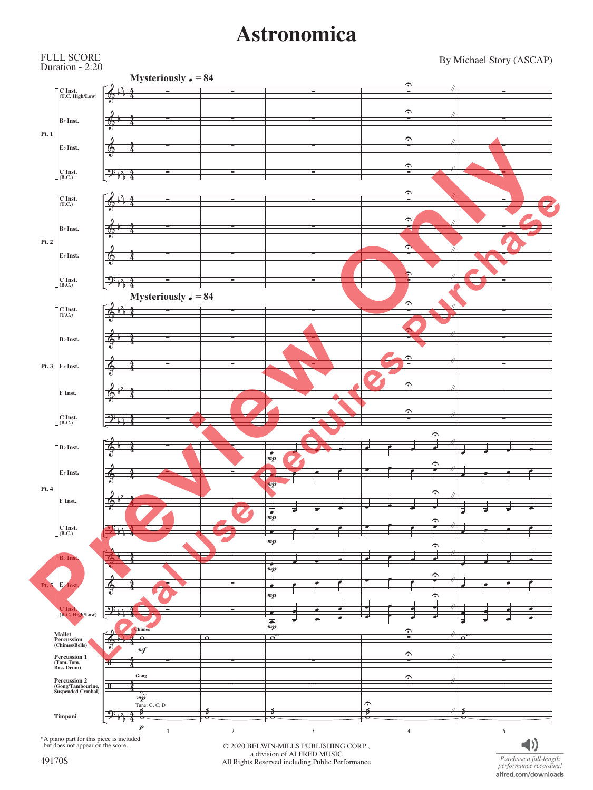# **Astronomica**



a division of ALFRED MUSIC All Rights Reserved including Public Performance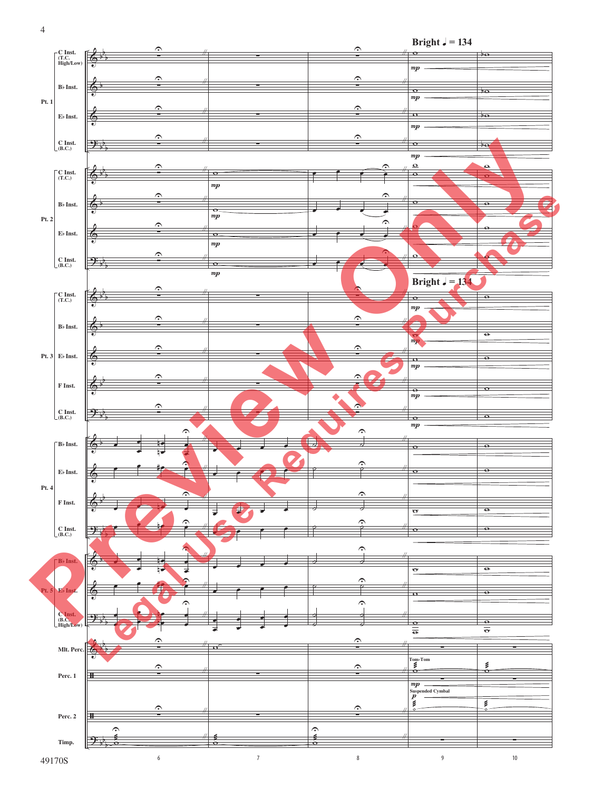

49170S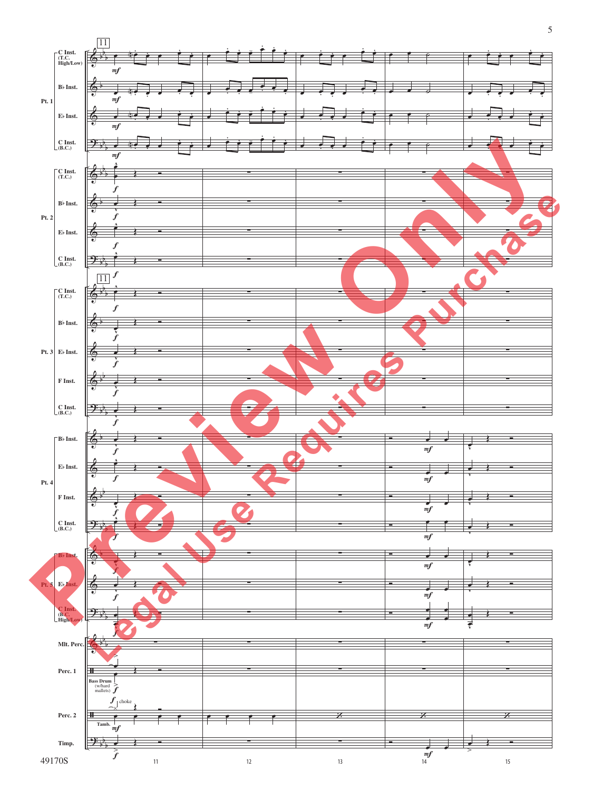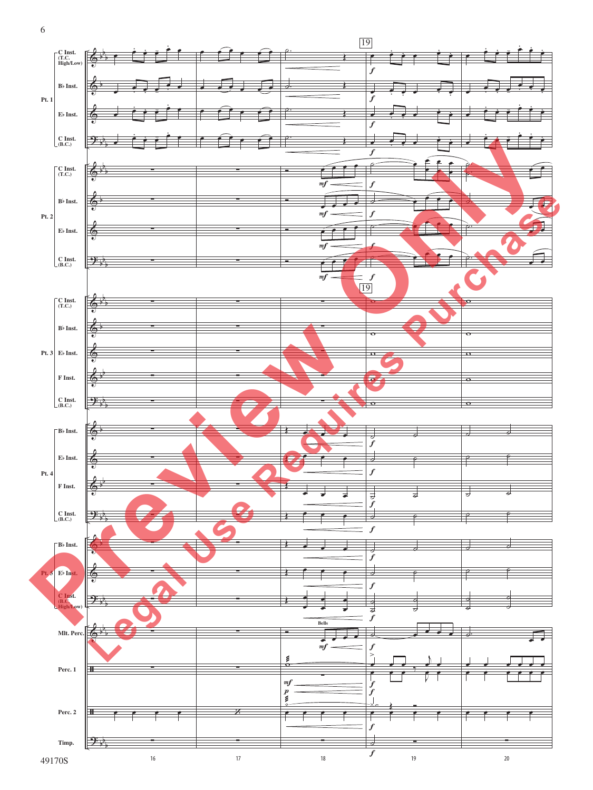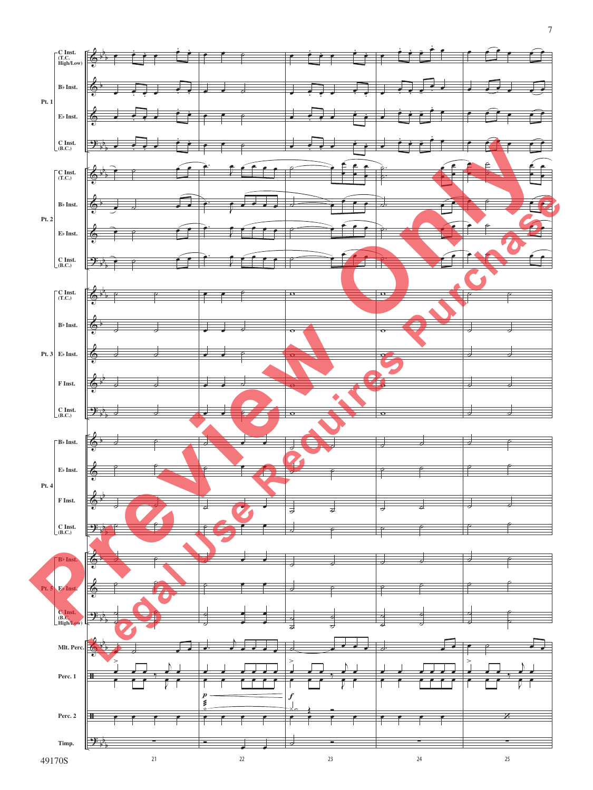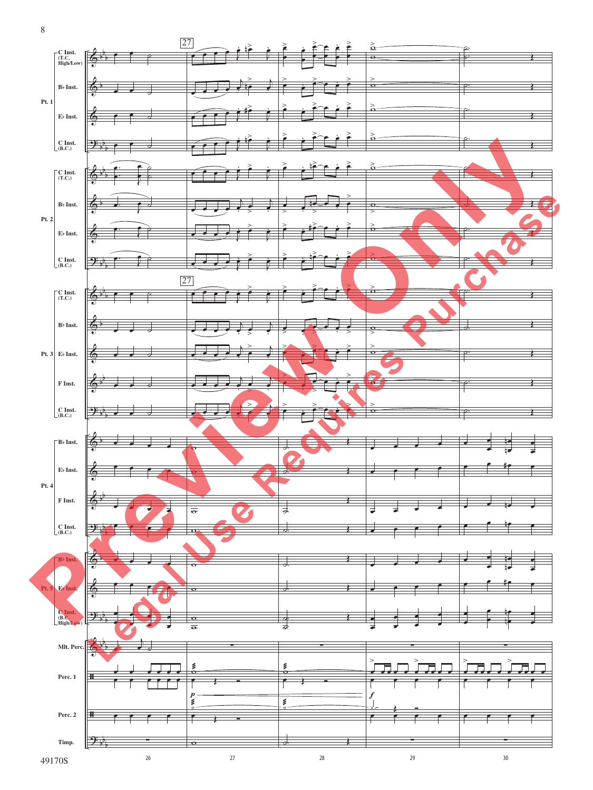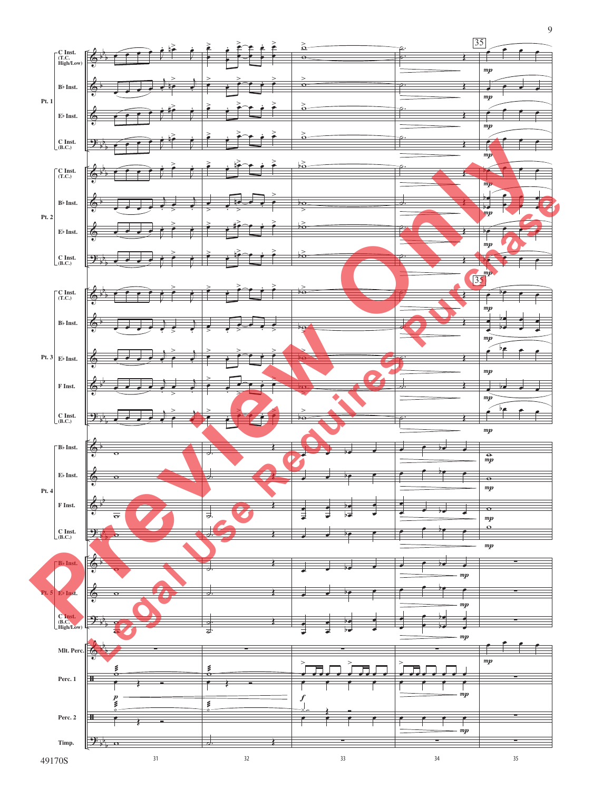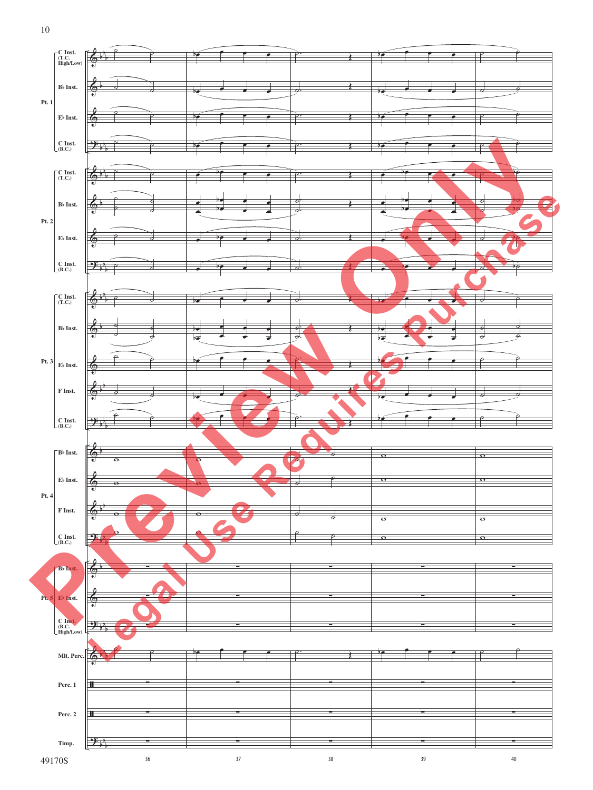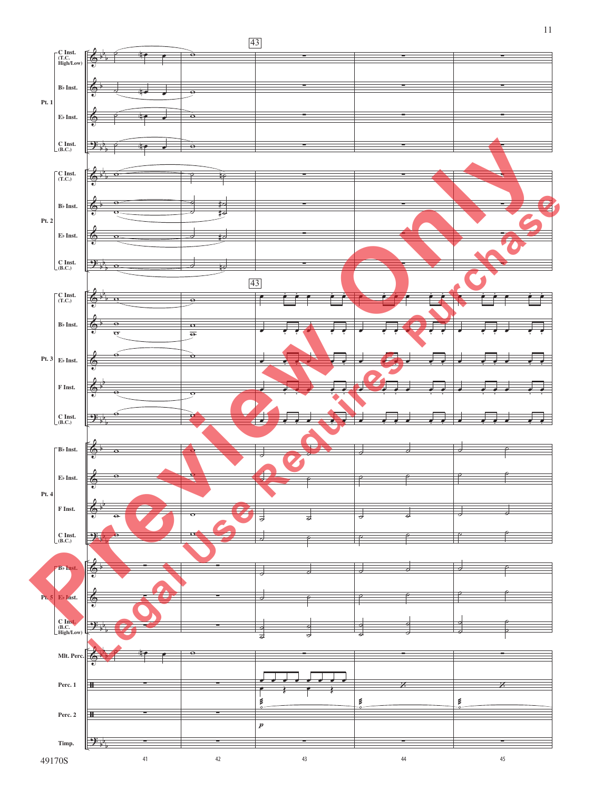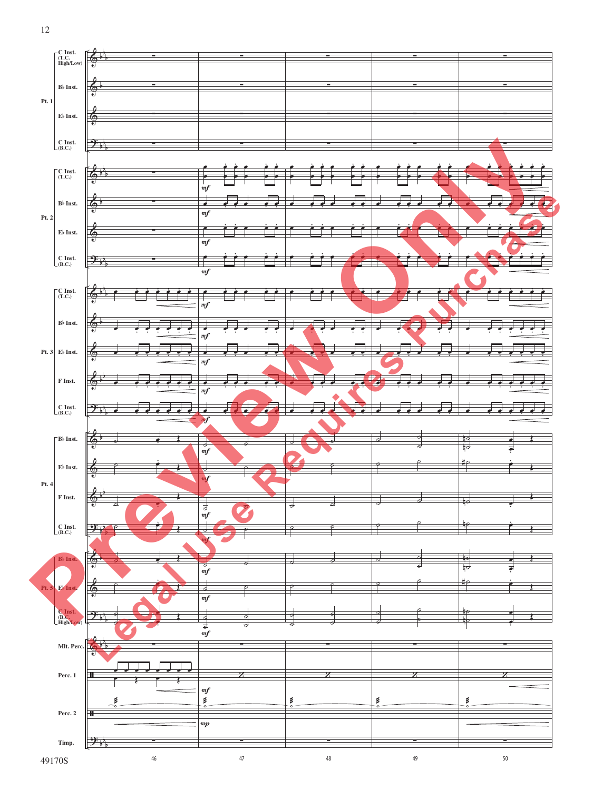

 $12\,$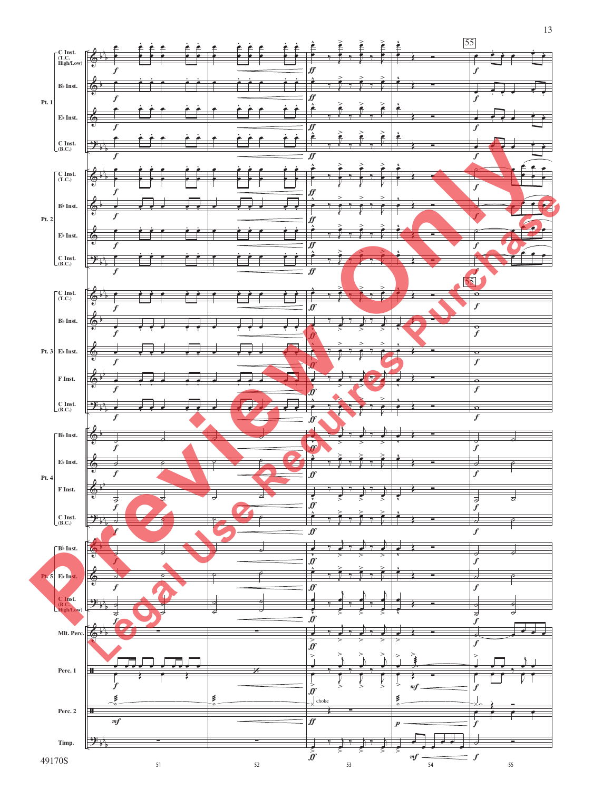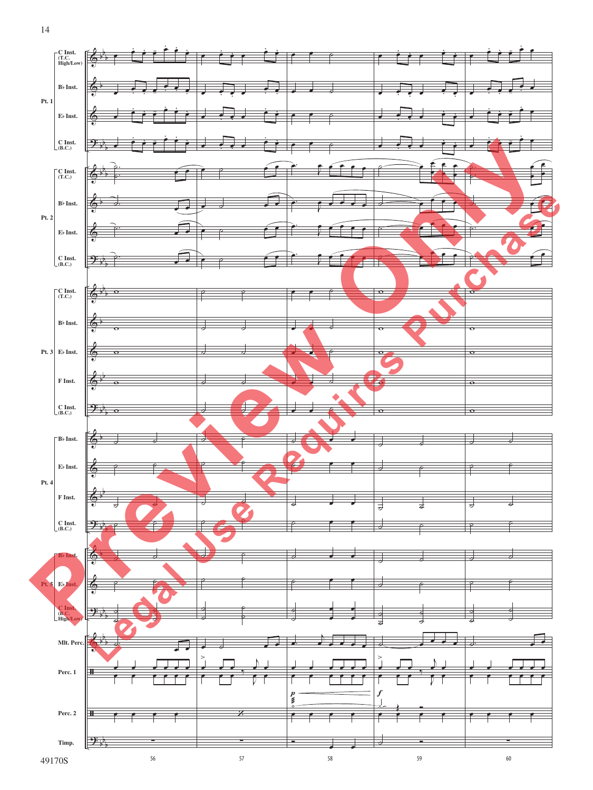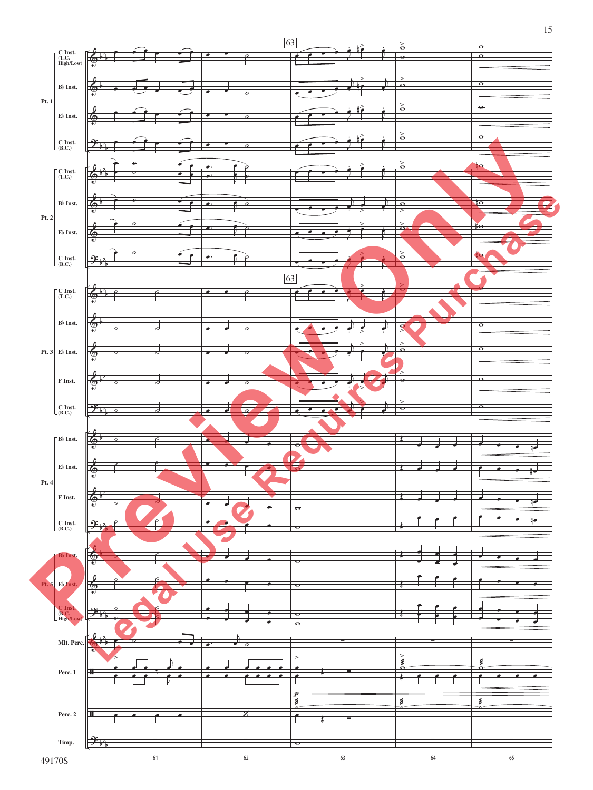